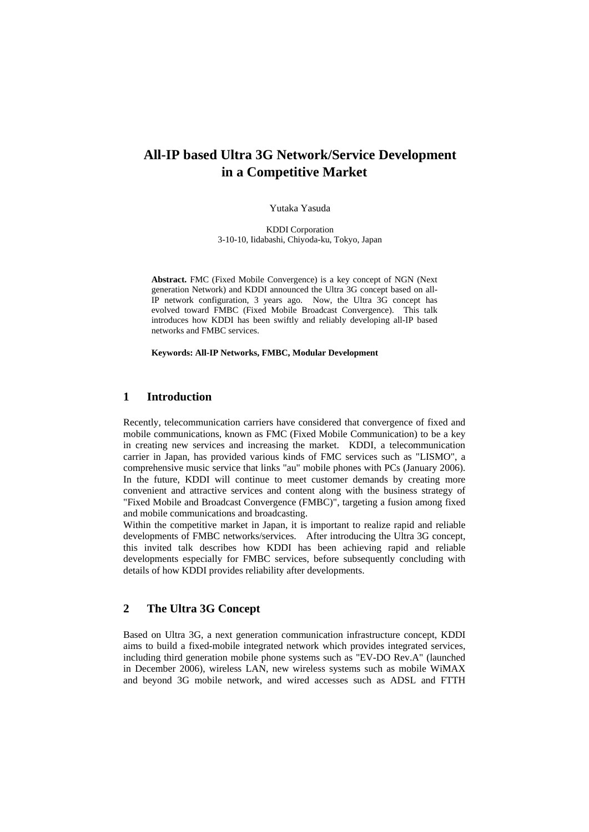# **All-IP based Ultra 3G Network/Service Development in a Competitive Market**

#### Yutaka Yasuda

KDDI Corporation 3-10-10, Iidabashi, Chiyoda-ku, Tokyo, Japan

**Abstract.** FMC (Fixed Mobile Convergence) is a key concept of NGN (Next generation Network) and KDDI announced the Ultra 3G concept based on all-IP network configuration, 3 years ago. Now, the Ultra 3G concept has evolved toward FMBC (Fixed Mobile Broadcast Convergence). This talk introduces how KDDI has been swiftly and reliably developing all-IP based networks and FMBC services.

**Keywords: All-IP Networks, FMBC, Modular Development**

### **1 Introduction**

Recently, telecommunication carriers have considered that convergence of fixed and mobile communications, known as FMC (Fixed Mobile Communication) to be a key in creating new services and increasing the market. KDDI, a telecommunication carrier in Japan, has provided various kinds of FMC services such as "LISMO", a comprehensive music service that links "au" mobile phones with PCs (January 2006). In the future, KDDI will continue to meet customer demands by creating more convenient and attractive services and content along with the business strategy of "Fixed Mobile and Broadcast Convergence (FMBC)", targeting a fusion among fixed and mobile communications and broadcasting.

Within the competitive market in Japan, it is important to realize rapid and reliable developments of FMBC networks/services. After introducing the Ultra 3G concept, this invited talk describes how KDDI has been achieving rapid and reliable developments especially for FMBC services, before subsequently concluding with details of how KDDI provides reliability after developments.

## **2 The Ultra 3G Concept**

Based on Ultra 3G, a next generation communication infrastructure concept, KDDI aims to build a fixed-mobile integrated network which provides integrated services, including third generation mobile phone systems such as "EV-DO Rev.A" (launched in December 2006), wireless LAN, new wireless systems such as mobile WiMAX and beyond 3G mobile network, and wired accesses such as ADSL and FTTH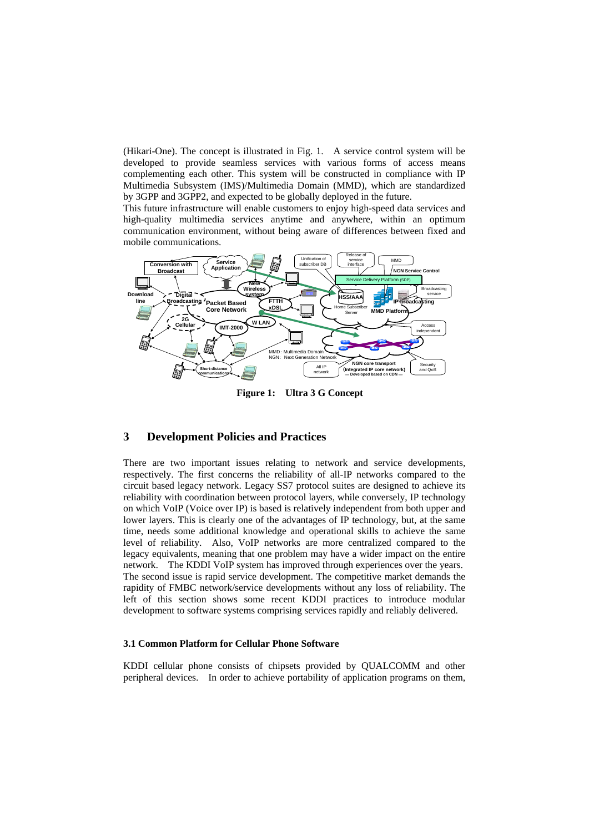(Hikari-One). The concept is illustrated in Fig. 1. A service control system will be developed to provide seamless services with various forms of access means complementing each other. This system will be constructed in compliance with IP Multimedia Subsystem (IMS)/Multimedia Domain (MMD), which are standardized by 3GPP and 3GPP2, and expected to be globally deployed in the future.

This future infrastructure will enable customers to enjoy high-speed data services and high-quality multimedia services anytime and anywhere, within an optimum communication environment, without being aware of differences between fixed and mobile communications.



**Figure 1: Ultra 3 G Concept** 

### **3 Development Policies and Practices**

There are two important issues relating to network and service developments, respectively. The first concerns the reliability of all-IP networks compared to the circuit based legacy network. Legacy SS7 protocol suites are designed to achieve its reliability with coordination between protocol layers, while conversely, IP technology on which VoIP (Voice over IP) is based is relatively independent from both upper and lower layers. This is clearly one of the advantages of IP technology, but, at the same time, needs some additional knowledge and operational skills to achieve the same level of reliability. Also, VoIP networks are more centralized compared to the legacy equivalents, meaning that one problem may have a wider impact on the entire network. The KDDI VoIP system has improved through experiences over the years. The second issue is rapid service development. The competitive market demands the rapidity of FMBC network/service developments without any loss of reliability. The left of this section shows some recent KDDI practices to introduce modular development to software systems comprising services rapidly and reliably delivered.

#### **3.1 Common Platform for Cellular Phone Software**

KDDI cellular phone consists of chipsets provided by QUALCOMM and other peripheral devices. In order to achieve portability of application programs on them,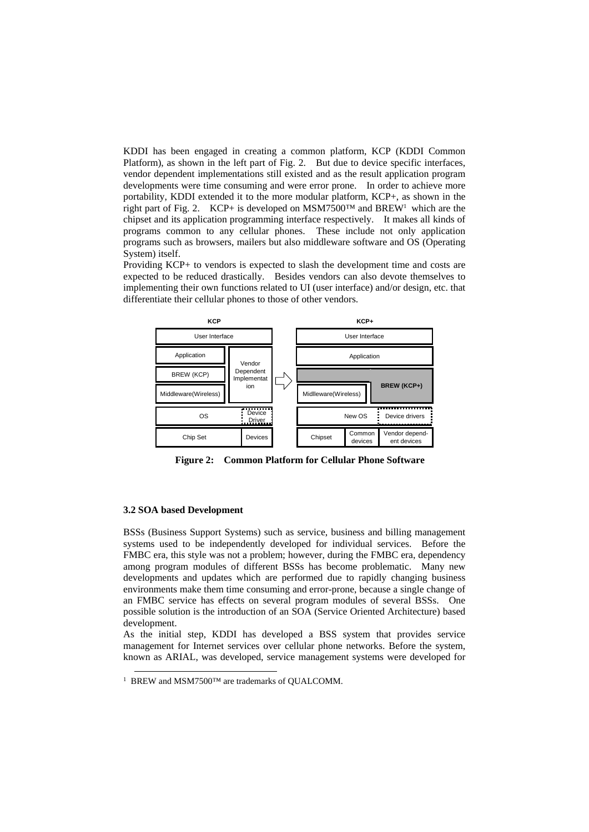KDDI has been engaged in creating a common platform, KCP (KDDI Common Platform), as shown in the left part of Fig. 2. But due to device specific interfaces, vendor dependent implementations still existed and as the result application program developments were time consuming and were error prone. In order to achieve more portability, KDDI extended it to the more modular platform, KCP+, as shown in the right part of Fig. 2. KCP+ is developed on MSM7500<sup>TM</sup> and BREW<sup>1</sup> which are the chipset and its application programming interface respectively. It makes all kinds of programs common to any cellular phones. These include not only application programs such as browsers, mailers but also middleware software and OS (Operating System) itself.

Providing KCP+ to vendors is expected to slash the development time and costs are expected to be reduced drastically. Besides vendors can also devote themselves to implementing their own functions related to UI (user interface) and/or design, etc. that differentiate their cellular phones to those of other vendors.



**Figure 2: Common Platform for Cellular Phone Software** 

#### **3.2 SOA based Development**

BSSs (Business Support Systems) such as service, business and billing management systems used to be independently developed for individual services. Before the FMBC era, this style was not a problem; however, during the FMBC era, dependency among program modules of different BSSs has become problematic. Many new developments and updates which are performed due to rapidly changing business environments make them time consuming and error-prone, because a single change of an FMBC service has effects on several program modules of several BSSs. One possible solution is the introduction of an SOA (Service Oriented Architecture) based development.

As the initial step, KDDI has developed a BSS system that provides service management for Internet services over cellular phone networks. Before the system, known as ARIAL, was developed, service management systems were developed for

<sup>&</sup>lt;sup>1</sup> BREW and MSM7500™ are trademarks of QUALCOMM.